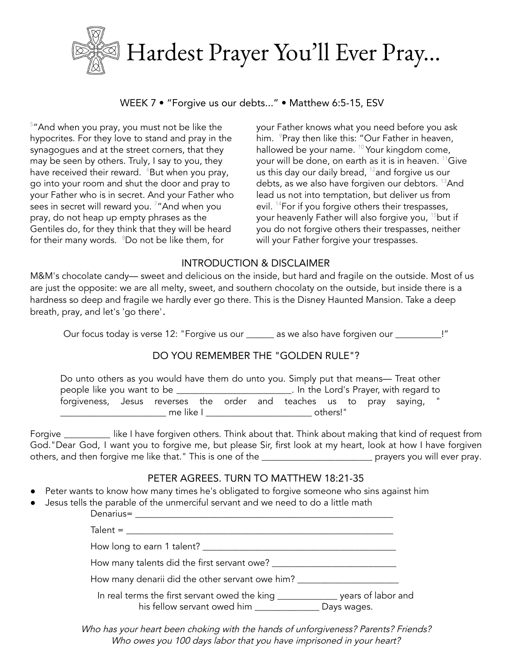

WEEK 7 • "Forgive us our debts..." • Matthew 6:5-15, ESV

 $5"$ And when you pray, you must not be like the hypocrites. For they love to stand and pray in the synagogues and at the street corners, that they may be seen by others. Truly, I say to you, they have received their reward.  $6B$ ut when you pray, go into your room and shut the door and pray to your Father who is in secret. And your Father who sees in secret will reward you. <sup>7</sup>"And when you pray, do not heap up empty phrases as the Gentiles do, for they think that they will be heard for their many words. <sup>8</sup>Do not be like them, for

your Father knows what you need before you ask him. <sup>9</sup>Pray then like this: "Our Father in heaven, hallowed be your name. <sup>10</sup> Your kingdom come, your will be done, on earth as it is in heaven. <sup>11</sup>Give us this day our daily bread, <sup>12</sup> and forgive us our debts, as we also have forgiven our debtors. <sup>13</sup>And lead us not into temptation, but deliver us from evil. <sup>14</sup>For if you forgive others their trespasses, your heavenly Father will also forgive you, <sup>15</sup>but if you do not forgive others their trespasses, neither will your Father forgive your trespasses.

## INTRODUCTION & DISCLAIMER

M&M's chocolate candy— sweet and delicious on the inside, but hard and fragile on the outside. Most of us are just the opposite: we are all melty, sweet, and southern chocolaty on the outside, but inside there is a hardness so deep and fragile we hardly ever go there. This is the Disney Haunted Mansion. Take a deep breath, pray, and let's 'go there'

Our focus today is verse 12: "Forgive us our \_\_\_\_\_\_ as we also have forgiven our \_\_\_\_\_\_\_\_\_\_!"

# DO YOU REMEMBER THE "GOLDEN RULE"?

| Do unto others as you would have them do unto you. Simply put that means— Treat other |           |  |  |  |          |  |  |  |                                        |  |
|---------------------------------------------------------------------------------------|-----------|--|--|--|----------|--|--|--|----------------------------------------|--|
| people like you want to be __                                                         |           |  |  |  |          |  |  |  | . In the Lord's Prayer, with regard to |  |
| forgiveness, Jesus reverses the order and teaches us to pray saying,                  |           |  |  |  |          |  |  |  |                                        |  |
|                                                                                       | me like l |  |  |  | others!" |  |  |  |                                        |  |

Forgive \_\_\_\_\_\_\_\_\_\_ like I have forgiven others. Think about that. Think about making that kind of request from God."Dear God, I want you to forgive me, but please Sir, first look at my heart, look at how I have forgiven others, and then forgive me like that." This is one of the \_\_\_\_\_\_\_\_\_\_\_\_\_\_\_\_\_\_\_\_\_\_\_\_\_\_\_\_\_\_\_ prayers you will ever pray.

## PETER AGREES. TURN TO MATTHEW 18:21-35

- Peter wants to know how many times he's obligated to forgive someone who sins against him
- Jesus tells the parable of the unmerciful servant and we need to do a little math

| Denarius=                                                                                                       |             |
|-----------------------------------------------------------------------------------------------------------------|-------------|
| $Talent = \_$                                                                                                   |             |
|                                                                                                                 |             |
|                                                                                                                 |             |
| How many denarii did the other servant owe him? ________________________________                                |             |
| In real terms the first servant owed the king _______________ years of labor and<br>his fellow servant owed him | Days wages. |

Who has your heart been choking with the hands of unforgiveness? Parents? Friends? Who owes you 100 days labor that you have imprisoned in your heart?